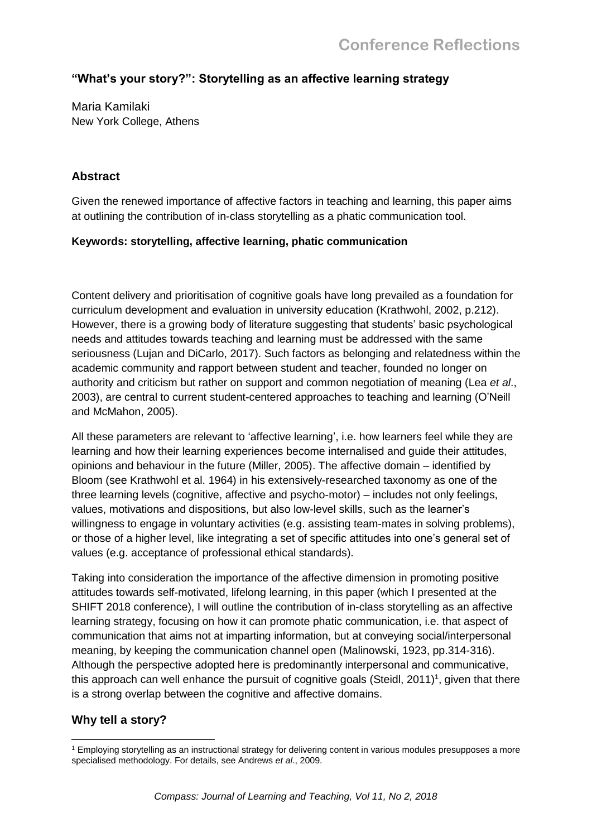# **"What's your story?": Storytelling as an affective learning strategy**

Maria Kamilaki New York College, Athens

### **Abstract**

Given the renewed importance of affective factors in teaching and learning, this paper aims at outlining the contribution of in-class storytelling as a phatic communication tool.

#### **Keywords: storytelling, affective learning, phatic communication**

Content delivery and prioritisation of cognitive goals have long prevailed as a foundation for curriculum development and evaluation in university education (Krathwohl, 2002, p.212). However, there is a growing body of literature suggesting that students' basic psychological needs and attitudes towards teaching and learning must be addressed with the same seriousness (Lujan and DiCarlo, 2017). Such factors as belonging and relatedness within the academic community and rapport between student and teacher, founded no longer on authority and criticism but rather on support and common negotiation of meaning (Lea *et al*., 2003), are central to current student-centered approaches to teaching and learning (O'Neill and McMahon, 2005).

All these parameters are relevant to 'affective learning', i.e. how learners feel while they are learning and how their learning experiences become internalised and guide their attitudes, opinions and behaviour in the future (Miller, 2005). The affective domain – identified by Bloom (see Krathwohl et al. 1964) in his extensively-researched taxonomy as one of the three learning levels (cognitive, affective and psycho-motor) – includes not only feelings, values, motivations and dispositions, but also low-level skills, such as the learner's willingness to engage in voluntary activities (e.g. assisting team-mates in solving problems), or those of a higher level, like integrating a set of specific attitudes into one's general set of values (e.g. acceptance of professional ethical standards).

Taking into consideration the importance of the affective dimension in promoting positive attitudes towards self-motivated, lifelong learning, in this paper (which I presented at the SHIFT 2018 conference), I will outline the contribution of in-class storytelling as an affective learning strategy, focusing on how it can promote phatic communication, i.e. that aspect of communication that aims not at imparting information, but at conveying social/interpersonal meaning, by keeping the communication channel open (Malinowski, 1923, pp.314-316). Although the perspective adopted here is predominantly interpersonal and communicative, this approach can well enhance the pursuit of cognitive goals (Steidl, 2011)<sup>1</sup>, given that there is a strong overlap between the cognitive and affective domains.

## **Why tell a story?**

<sup>1</sup> <sup>1</sup> Employing storytelling as an instructional strategy for delivering content in various modules presupposes a more specialised methodology. For details, see Andrews *et al*., 2009.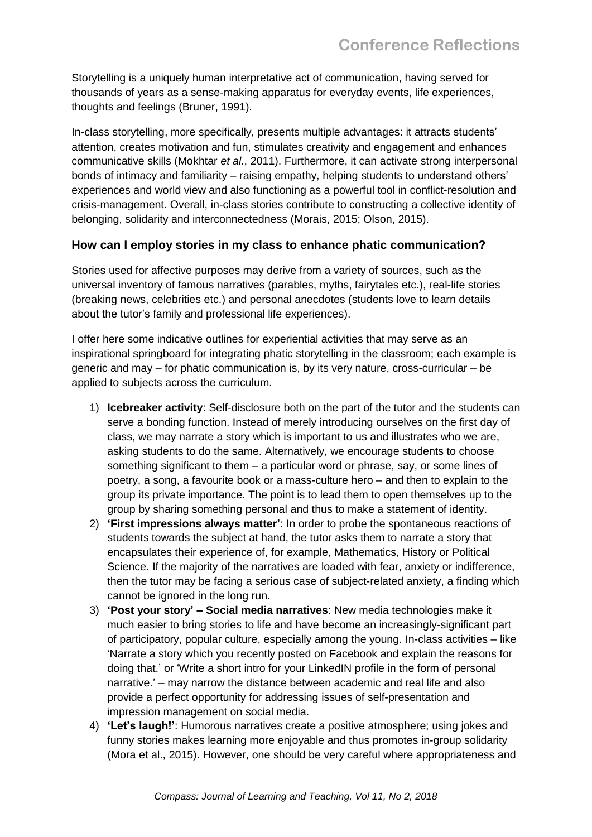Storytelling is a uniquely human interpretative act of communication, having served for thousands of years as a sense-making apparatus for everyday events, life experiences, thoughts and feelings (Bruner, 1991).

In-class storytelling, more specifically, presents multiple advantages: it attracts students' attention, creates motivation and fun, stimulates creativity and engagement and enhances communicative skills (Mokhtar *et al*., 2011). Furthermore, it can activate strong interpersonal bonds of intimacy and familiarity – raising empathy, helping students to understand others' experiences and world view and also functioning as a powerful tool in conflict-resolution and crisis-management. Overall, in-class stories contribute to constructing a collective identity of belonging, solidarity and interconnectedness (Morais, 2015; Olson, 2015).

#### **How can I employ stories in my class to enhance phatic communication?**

Stories used for affective purposes may derive from a variety of sources, such as the universal inventory of famous narratives (parables, myths, fairytales etc.), real-life stories (breaking news, celebrities etc.) and personal anecdotes (students love to learn details about the tutor's family and professional life experiences).

I offer here some indicative outlines for experiential activities that may serve as an inspirational springboard for integrating phatic storytelling in the classroom; each example is generic and may – for phatic communication is, by its very nature, cross-curricular – be applied to subjects across the curriculum.

- 1) **Icebreaker activity**: Self-disclosure both on the part of the tutor and the students can serve a bonding function. Instead of merely introducing ourselves on the first day of class, we may narrate a story which is important to us and illustrates who we are, asking students to do the same. Alternatively, we encourage students to choose something significant to them – a particular word or phrase, say, or some lines of poetry, a song, a favourite book or a mass-culture hero – and then to explain to the group its private importance. The point is to lead them to open themselves up to the group by sharing something personal and thus to make a statement of identity.
- 2) **'First impressions always matter'**: In order to probe the spontaneous reactions of students towards the subject at hand, the tutor asks them to narrate a story that encapsulates their experience of, for example, Mathematics, History or Political Science. If the majority of the narratives are loaded with fear, anxiety or indifference, then the tutor may be facing a serious case of subject-related anxiety, a finding which cannot be ignored in the long run.
- 3) **'Post your story' – Social media narratives**: New media technologies make it much easier to bring stories to life and have become an increasingly-significant part of participatory, popular culture, especially among the young. In-class activities – like 'Narrate a story which you recently posted on Facebook and explain the reasons for doing that.' or 'Write a short intro for your LinkedIN profile in the form of personal narrative.' – may narrow the distance between academic and real life and also provide a perfect opportunity for addressing issues of self-presentation and impression management on social media.
- 4) **'Let's laugh!'**: Humorous narratives create a positive atmosphere; using jokes and funny stories makes learning more enjoyable and thus promotes in-group solidarity (Mora et al., 2015). However, one should be very careful where appropriateness and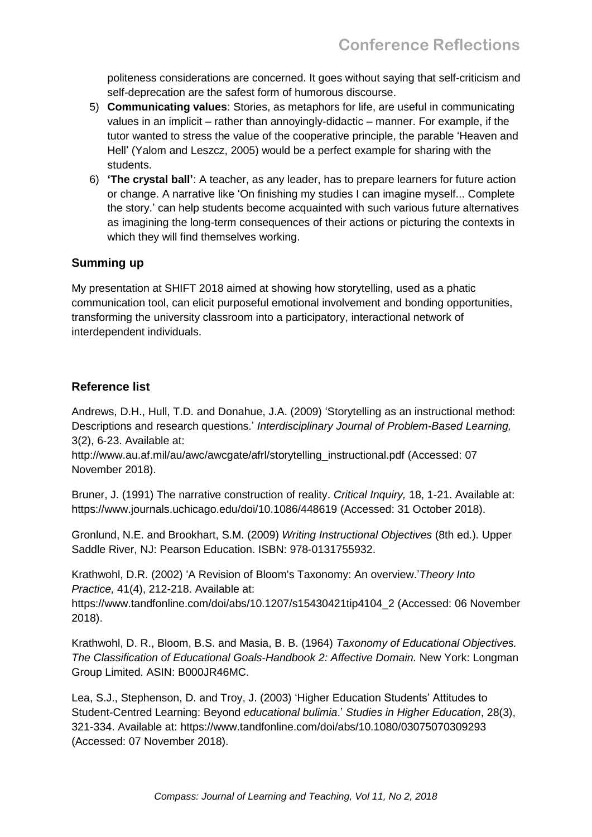politeness considerations are concerned. It goes without saying that self-criticism and self-deprecation are the safest form of humorous discourse.

- 5) **Communicating values**: Stories, as metaphors for life, are useful in communicating values in an implicit – rather than annoyingly-didactic – manner. For example, if the tutor wanted to stress the value of the cooperative principle, the parable 'Heaven and Hell' (Yalom and Leszcz, 2005) would be a perfect example for sharing with the students.
- 6) **'The crystal ball'**: A teacher, as any leader, has to prepare learners for future action or change. A narrative like 'On finishing my studies I can imagine myself... Complete the story.' can help students become acquainted with such various future alternatives as imagining the long-term consequences of their actions or picturing the contexts in which they will find themselves working.

# **Summing up**

My presentation at SHIFT 2018 aimed at showing how storytelling, used as a phatic communication tool, can elicit purposeful emotional involvement and bonding opportunities, transforming the university classroom into a participatory, interactional network of interdependent individuals.

## **Reference list**

Andrews, D.H., Hull, T.D. and Donahue, J.A. (2009) 'Storytelling as an instructional method: Descriptions and research questions.' *Interdisciplinary Journal of Problem-Based Learning,* 3(2), 6-23. Available at:

[http://www.au.af.mil/au/awc/awcgate/afrl/storytelling\\_instructional.pdf](http://www.au.af.mil/au/awc/awcgate/afrl/storytelling_instructional.pdf) (Accessed: 07 November 2018).

Bruner, J. (1991) The narrative construction of reality. *Critical Inquiry,* 18, 1-21. Available at: https://www.journals.uchicago.edu/doi/10.1086/448619 (Accessed: 31 October 2018).

Gronlund, N.E. and Brookhart, S.M. (2009) *Writing Instructional Objectives* (8th ed.). Upper Saddle River, NJ: Pearson Education. ISBN: 978-0131755932.

Krathwohl, D.R. (2002) 'A Revision of Bloom's Taxonomy: An overview.'*Theory Into Practice,* 41(4), 212-218. Available at:

[https://www.tandfonline.com/doi/abs/10.1207/s15430421tip4104\\_2](https://www.tandfonline.com/doi/abs/10.1207/s15430421tip4104_2) (Accessed: 06 November 2018).

Krathwohl, D. R., Bloom, B.S. and Masia, B. B. (1964) *Taxonomy of Educational Objectives. The Classification of Educational Goals-Handbook 2: Affective Domain.* New York: Longman Group Limited. ASIN: B000JR46MC.

Lea, S.J., Stephenson, D. and Troy, J. (2003) 'Higher Education Students' Attitudes to Student-Centred Learning: Beyond *educational bulimia*.' *Studies in Higher Education*, 28(3), 321-334. Available at: https://www.tandfonline.com/doi/abs/10.1080/03075070309293 (Accessed: 07 November 2018).